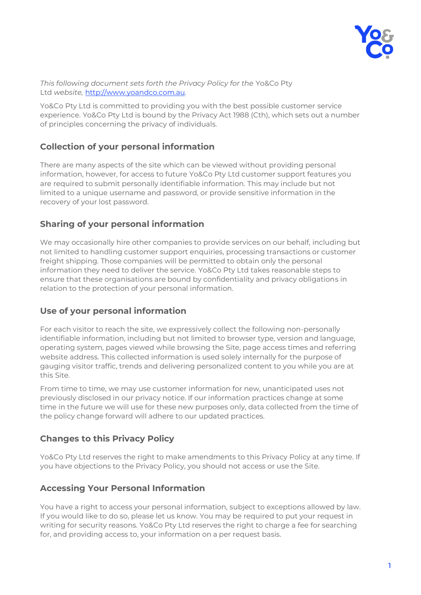

#### *This following document sets forth the Privacy Policy for the* Yo&Co Pty Ltd *website,* [http://www.yoandco.com.au](http://www.yoandco.com.au/)*.*

Yo&Co Pty Ltd is committed to providing you with the best possible customer service experience. Yo&Co Pty Ltd is bound by the Privacy Act 1988 (Cth), which sets out a number of principles concerning the privacy of individuals.

# **Collection of your personal information**

There are many aspects of the site which can be viewed without providing personal information, however, for access to future Yo&Co Pty Ltd customer support features you are required to submit personally identifiable information. This may include but not limited to a unique username and password, or provide sensitive information in the recovery of your lost password.

# **Sharing of your personal information**

We may occasionally hire other companies to provide services on our behalf, including but not limited to handling customer support enquiries, processing transactions or customer freight shipping. Those companies will be permitted to obtain only the personal information they need to deliver the service. Yo&Co Pty Ltd takes reasonable steps to ensure that these organisations are bound by confidentiality and privacy obligations in relation to the protection of your personal information.

### **Use of your personal information**

For each visitor to reach the site, we expressively collect the following non-personally identifiable information, including but not limited to browser type, version and language, operating system, pages viewed while browsing the Site, page access times and referring website address. This collected information is used solely internally for the purpose of gauging visitor traffic, trends and delivering personalized content to you while you are at this Site.

From time to time, we may use customer information for new, unanticipated uses not previously disclosed in our privacy notice. If our information practices change at some time in the future we will use for these new purposes only, data collected from the time of the policy change forward will adhere to our updated practices.

# **Changes to this Privacy Policy**

Yo&Co Pty Ltd reserves the right to make amendments to this Privacy Policy at any time. If you have objections to the Privacy Policy, you should not access or use the Site.

# **Accessing Your Personal Information**

You have a right to access your personal information, subject to exceptions allowed by law. If you would like to do so, please let us know. You may be required to put your request in writing for security reasons. Yo&Co Pty Ltd reserves the right to charge a fee for searching for, and providing access to, your information on a per request basis.